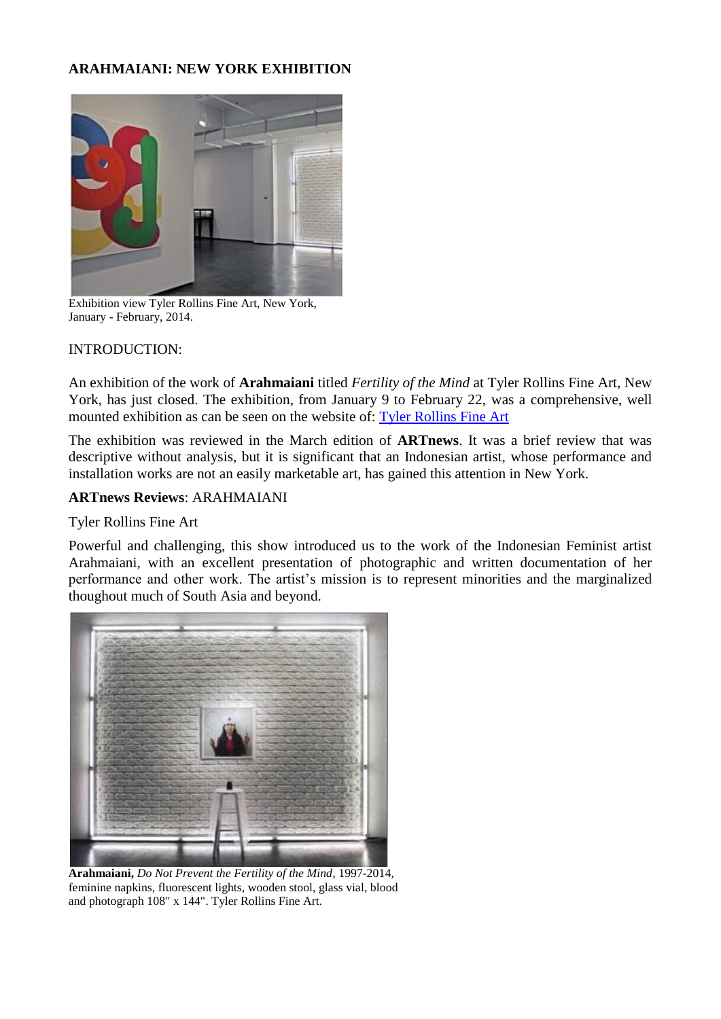## **ARAHMAIANI: NEW YORK EXHIBITION**



Exhibition view Tyler Rollins Fine Art, New York, January - February, 2014.

## INTRODUCTION:

An exhibition of the work of **Arahmaiani** titled *Fertility of the Mind* at Tyler Rollins Fine Art, New York, has just closed. The exhibition, from January 9 to February 22, was a comprehensive, well mounted exhibition as can be seen on the website of: [Tyler Rollins Fine Art](http://www.trfineart.com/exhibitions/arahmaiani-fertility-of-the-mind)

The exhibition was reviewed in the March edition of **ARTnews**. It was a brief review that was descriptive without analysis, but it is significant that an Indonesian artist, whose performance and installation works are not an easily marketable art, has gained this attention in New York.

## **ARTnews Reviews**: ARAHMAIANI

## Tyler Rollins Fine Art

Powerful and challenging, this show introduced us to the work of the Indonesian Feminist artist Arahmaiani, with an excellent presentation of photographic and written documentation of her performance and other work. The artist's mission is to represent minorities and the marginalized thoughout much of South Asia and beyond.



**Arahmaiani,** *Do Not Prevent the Fertility of the Mind,* 1997-2014, feminine napkins, fluorescent lights, wooden stool, glass vial, blood and photograph 108" x 144". Tyler Rollins Fine Art.